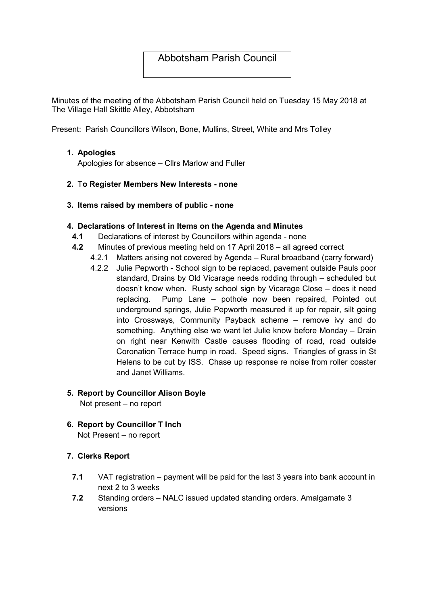# Abbotsham Parish Council

Minutes of the meeting of the Abbotsham Parish Council held on Tuesday 15 May 2018 at The Village Hall Skittle Alley, Abbotsham

Present: Parish Councillors Wilson, Bone, Mullins, Street, White and Mrs Tolley

#### 1. Apologies

Apologies for absence – Cllrs Marlow and Fuller

- 2. To Register Members New Interests none
- 3. Items raised by members of public none

#### 4. Declarations of Interest in Items on the Agenda and Minutes

- 4.1 Declarations of interest by Councillors within agenda none
- 4.2 Minutes of previous meeting held on 17 April 2018 all agreed correct
	- 4.2.1 Matters arising not covered by Agenda Rural broadband (carry forward)
	- 4.2.2 Julie Pepworth School sign to be replaced, pavement outside Pauls poor standard, Drains by Old Vicarage needs rodding through – scheduled but doesn't know when. Rusty school sign by Vicarage Close – does it need replacing. Pump Lane – pothole now been repaired, Pointed out underground springs, Julie Pepworth measured it up for repair, silt going into Crossways, Community Payback scheme – remove ivy and do something. Anything else we want let Julie know before Monday – Drain on right near Kenwith Castle causes flooding of road, road outside Coronation Terrace hump in road. Speed signs. Triangles of grass in St Helens to be cut by ISS. Chase up response re noise from roller coaster and Janet Williams.

# 5. Report by Councillor Alison Boyle

Not present – no report

6. Report by Councillor T Inch Not Present – no report

# 7. Clerks Report

- 7.1 VAT registration payment will be paid for the last 3 years into bank account in next 2 to 3 weeks
- 7.2 Standing orders NALC issued updated standing orders. Amalgamate 3 versions